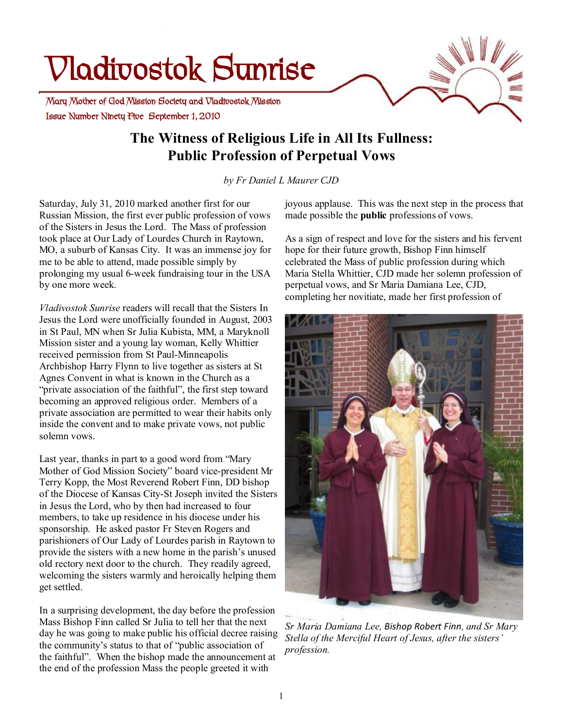# **Vladivostok Sunrise**

 **Issue Number Ninety Five September 1, 2010 Mary Mother of God Mission Society and Vladivostok Mission** 

# **The Witness of Religious Life in All Its Fullness: Public Profession of Perpetual Vows**

*by Fr Daniel L Maurer CJD* 

Saturday, July 31, 2010 marked another first for our Russian Mission, the first ever public profession of vows of the Sisters in Jesus the Lord. The Mass of profession took place at Our Lady of Lourdes Church in Raytown, MO, a suburb of Kansas City. It was an immense joy for me to be able to attend, made possible simply by prolonging my usual 6-week fundraising tour in the USA by one more week.

*Vladivostok Sunrise* readers will recall that the Sisters In Jesus the Lord were unofficially founded in August, 2003 in St Paul, MN when Sr Julia Kubista, MM, a Maryknoll Mission sister and a young lay woman, Kelly Whittier received permission from St Paul-Minneapolis Archbishop Harry Flynn to live together as sisters at St Agnes Convent in what is known in the Church as a "private association of the faithful", the first step toward becoming an approved religious order. Members of a private association are permitted to wear their habits only inside the convent and to make private vows, not public solemn vows.

Last year, thanks in part to a good word from "Mary Mother of God Mission Society" board vice-president Mr Terry Kopp, the Most Reverend Robert Finn, DD bishop of the Diocese of Kansas City-St Joseph invited the Sisters in Jesus the Lord, who by then had increased to four members, to take up residence in his diocese under his sponsorship. He asked pastor Fr Steven Rogers and parishioners of Our Lady of Lourdes parish in Raytown to provide the sisters with a new home in the parish's unused old rectory next door to the church. They readily agreed, welcoming the sisters warmly and heroically helping them get settled.

In a surprising development, the day before the profession Mass Bishop Finn called Sr Julia to tell her that the next day he was going to make public his official decree raising the community's status to that of "public association of the faithful". When the bishop made the announcement at the end of the profession Mass the people greeted it with

joyous applause. This was the next step in the process that made possible the **public** professions of vows.

As a sign of respect and love for the sisters and his fervent hope for their future growth, Bishop Finn himself celebrated the Mass of public profession during which Maria Stella Whittier, CJD made her solemn profession of perpetual vows, and Sr Maria Damiana Lee, CJD, completing her novitiate, made her first profession of



*Sr Maria Damiana Lee, Bishop Robert Finn, and Sr Mary Stella of the Merciful Heart of Jesus, after the sisters' profession.*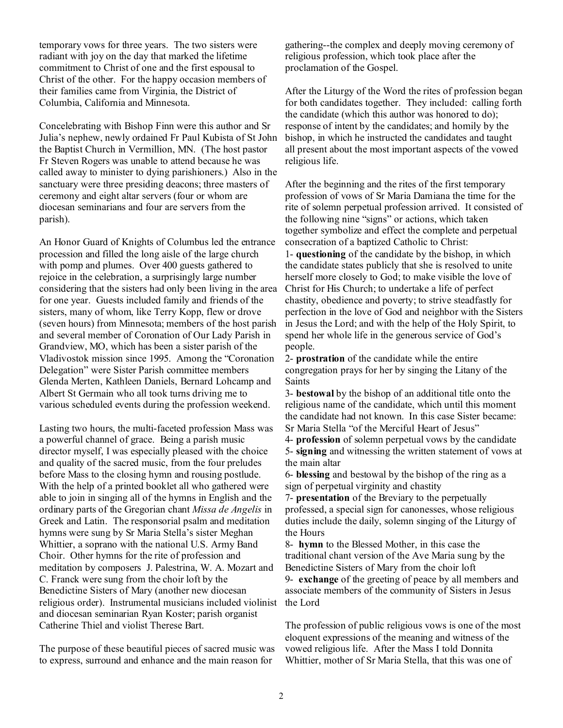temporary vows for three years. The two sisters were radiant with joy on the day that marked the lifetime commitment to Christ of one and the first espousal to Christ of the other. For the happy occasion members of their families came from Virginia, the District of Columbia, California and Minnesota.

Concelebrating with Bishop Finn were this author and Sr Julia's nephew, newly ordained Fr Paul Kubista of St John the Baptist Church in Vermillion, MN. (The host pastor Fr Steven Rogers was unable to attend because he was called away to minister to dying parishioners.) Also in the sanctuary were three presiding deacons; three masters of ceremony and eight altar servers (four or whom are diocesan seminarians and four are servers from the parish).

An Honor Guard of Knights of Columbus led the entrance procession and filled the long aisle of the large church with pomp and plumes. Over 400 guests gathered to rejoice in the celebration, a surprisingly large number considering that the sisters had only been living in the area for one year. Guests included family and friends of the sisters, many of whom, like Terry Kopp, flew or drove (seven hours) from Minnesota; members of the host parish and several member of Coronation of Our Lady Parish in Grandview, MO, which has been a sister parish of the Vladivostok mission since 1995. Among the "Coronation Delegation" were Sister Parish committee members Glenda Merten, Kathleen Daniels, Bernard Lohcamp and Albert St Germain who all took turns driving me to various scheduled events during the profession weekend.

Lasting two hours, the multi-faceted profession Mass was a powerful channel of grace. Being a parish music director myself, I was especially pleased with the choice and quality of the sacred music, from the four preludes before Mass to the closing hymn and rousing postlude. With the help of a printed booklet all who gathered were able to join in singing all of the hymns in English and the ordinary parts of the Gregorian chant *Missa de Angelis* in Greek and Latin. The responsorial psalm and meditation hymns were sung by Sr Maria Stella's sister Meghan Whittier, a soprano with the national U.S. Army Band Choir. Other hymns for the rite of profession and meditation by composers J. Palestrina, W. A. Mozart and C. Franck were sung from the choir loft by the Benedictine Sisters of Mary (another new diocesan religious order). Instrumental musicians included violinist and diocesan seminarian Ryan Koster; parish organist Catherine Thiel and violist Therese Bart.

The purpose of these beautiful pieces of sacred music was to express, surround and enhance and the main reason for

gathering--the complex and deeply moving ceremony of religious profession, which took place after the proclamation of the Gospel.

After the Liturgy of the Word the rites of profession began for both candidates together. They included: calling forth the candidate (which this author was honored to do); response of intent by the candidates; and homily by the bishop, in which he instructed the candidates and taught all present about the most important aspects of the vowed religious life.

After the beginning and the rites of the first temporary profession of vows of Sr Maria Damiana the time for the rite of solemn perpetual profession arrived. It consisted of the following nine "signs" or actions, which taken together symbolize and effect the complete and perpetual consecration of a baptized Catholic to Christ: 1- **questioning** of the candidate by the bishop, in which the candidate states publicly that she is resolved to unite herself more closely to God; to make visible the love of Christ for His Church; to undertake a life of perfect chastity, obedience and poverty; to strive steadfastly for perfection in the love of God and neighbor with the Sisters in Jesus the Lord; and with the help of the Holy Spirit, to spend her whole life in the generous service of God's people.

2- **prostration** of the candidate while the entire congregation prays for her by singing the Litany of the Saints

3- **bestowal** by the bishop of an additional title onto the religious name of the candidate, which until this moment the candidate had not known. In this case Sister became: Sr Maria Stella "of the Merciful Heart of Jesus"

4- **profession** of solemn perpetual vows by the candidate 5- **signing** and witnessing the written statement of vows at the main altar

6- **blessing** and bestowal by the bishop of the ring as a sign of perpetual virginity and chastity

7- **presentation** of the Breviary to the perpetually professed, a special sign for canonesses, whose religious duties include the daily, solemn singing of the Liturgy of the Hours

8- **hymn** to the Blessed Mother, in this case the traditional chant version of the Ave Maria sung by the Benedictine Sisters of Mary from the choir loft 9- **exchange** of the greeting of peace by all members and associate members of the community of Sisters in Jesus the Lord

The profession of public religious vows is one of the most eloquent expressions of the meaning and witness of the vowed religious life. After the Mass I told Donnita Whittier, mother of Sr Maria Stella, that this was one of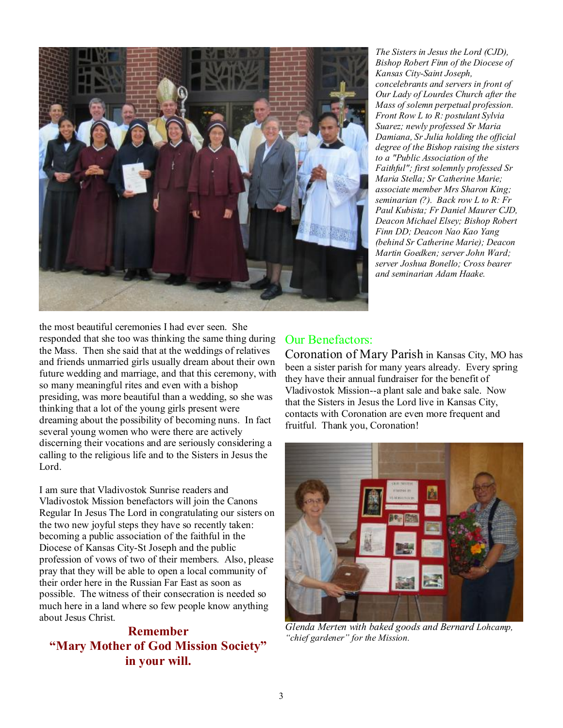

*The Sisters in Jesus the Lord (CJD), Bishop Robert Finn of the Diocese of Kansas City-Saint Joseph, concelebrants and servers in front of Our Lady of Lourdes Church after the Mass of solemn perpetual profession. Front Row L to R: postulant Sylvia Suarez; newly professed Sr Maria Damiana, Sr Julia holding the official degree of the Bishop raising the sisters to a "Public Association of the Faithful"; first solemnly professed Sr Maria Stella; Sr Catherine Marie; associate member Mrs Sharon King; seminarian (?). Back row L to R: Fr Paul Kubista; Fr Daniel Maurer CJD, Deacon Michael Elsey; Bishop Robert Finn DD; Deacon Nao Kao Yang (behind Sr Catherine Marie); Deacon Martin Goedken; server John Ward; server Joshua Bonello; Cross bearer and seminarian Adam Haake.* 

the most beautiful ceremonies I had ever seen. She responded that she too was thinking the same thing during the Mass. Then she said that at the weddings of relatives and friends unmarried girls usually dream about their own future wedding and marriage, and that this ceremony, with so many meaningful rites and even with a bishop presiding, was more beautiful than a wedding, so she was thinking that a lot of the young girls present were dreaming about the possibility of becoming nuns. In fact several young women who were there are actively discerning their vocations and are seriously considering a calling to the religious life and to the Sisters in Jesus the Lord.

I am sure that Vladivostok Sunrise readers and Vladivostok Mission benefactors will join the Canons Regular In Jesus The Lord in congratulating our sisters on the two new joyful steps they have so recently taken: becoming a public association of the faithful in the Diocese of Kansas City-St Joseph and the public profession of vows of two of their members. Also, please pray that they will be able to open a local community of their order here in the Russian Far East as soon as possible. The witness of their consecration is needed so much here in a land where so few people know anything about Jesus Christ.

**Remember "Mary Mother of God Mission Society" in your will.** 

## Our Benefactors:

Coronation of Mary Parish in Kansas City, MO has been a sister parish for many years already. Every spring they have their annual fundraiser for the benefit of Vladivostok Mission--a plant sale and bake sale. Now that the Sisters in Jesus the Lord live in Kansas City, contacts with Coronation are even more frequent and fruitful. Thank you, Coronation!



*Glenda Merten with baked goods and Bernard Lohcamp, "chief gardener" for the Mission.*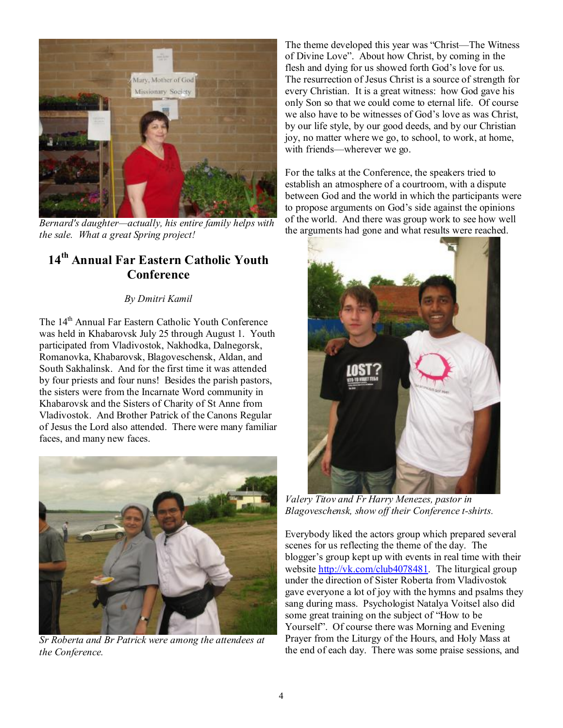

*Bernard's daughter—actually, his entire family helps with the sale. What a great Spring project!* 

## **14th Annual Far Eastern Catholic Youth Conference**

### *By Dmitri Kamil*

The 14th Annual Far Eastern Catholic Youth Conference was held in Khabarovsk July 25 through August 1. Youth participated from Vladivostok, Nakhodka, Dalnegorsk, Romanovka, Khabarovsk, Blagoveschensk, Aldan, and South Sakhalinsk. And for the first time it was attended by four priests and four nuns! Besides the parish pastors, the sisters were from the Incarnate Word community in Khabarovsk and the Sisters of Charity of St Anne from Vladivostok. And Brother Patrick of the Canons Regular of Jesus the Lord also attended. There were many familiar faces, and many new faces.



*Sr Roberta and Br Patrick were among the attendees at the Conference.* 

The theme developed this year was "Christ—The Witness of Divine Love". About how Christ, by coming in the flesh and dying for us showed forth God's love for us. The resurrection of Jesus Christ is a source of strength for every Christian. It is a great witness: how God gave his only Son so that we could come to eternal life. Of course we also have to be witnesses of God's love as was Christ, by our life style, by our good deeds, and by our Christian joy, no matter where we go, to school, to work, at home, with friends—wherever we go.

For the talks at the Conference, the speakers tried to establish an atmosphere of a courtroom, with a dispute between God and the world in which the participants were to propose arguments on God's side against the opinions of the world. And there was group work to see how well the arguments had gone and what results were reached.



*Valery Titov and Fr Harry Menezes, pastor in Blagoveschensk, show off their Conference t-shirts.* 

Everybody liked the actors group which prepared several scenes for us reflecting the theme of the day. The blogger's group kept up with events in real time with their website [http://vk.com/club4078481.](http://vk.com/club4078481) The liturgical group under the direction of Sister Roberta from Vladivostok gave everyone a lot of joy with the hymns and psalms they sang during mass. Psychologist Natalya Voitsel also did some great training on the subject of "How to be Yourself". Of course there was Morning and Evening Prayer from the Liturgy of the Hours, and Holy Mass at the end of each day. There was some praise sessions, and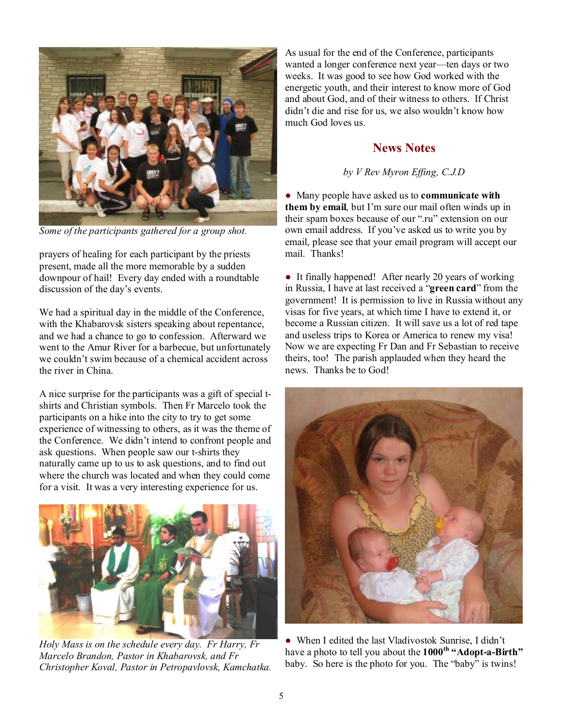

*Some of the participants gathered for a group shot.* 

prayers of healing for each participant by the priests present, made all the more memorable by a sudden downpour of hail! Every day ended with a roundtable discussion of the day's events.

We had a spiritual day in the middle of the Conference, with the Khabarovsk sisters speaking about repentance, and we had a chance to go to confession. Afterward we went to the Amur River for a barbecue, but unfortunately we couldn't swim because of a chemical accident across the river in China.

A nice surprise for the participants was a gift of special tshirts and Christian symbols. Then Fr Marcelo took the participants on a hike into the city to try to get some experience of witnessing to others, as it was the theme of the Conference. We didn't intend to confront people and ask questions. When people saw our t-shirts they naturally came up to us to ask questions, and to find out where the church was located and when they could come for a visit. It was a very interesting experience for us.



*Holy Mass is on the schedule every day. Fr Harry, Fr Marcelo Brandon, Pastor in Khabarovsk, and Fr Christopher Koval, Pastor in Petropavlovsk, Kamchatka.* 

As usual for the end of the Conference, participants wanted a longer conference next year—ten days or two weeks. It was good to see how God worked with the energetic youth, and their interest to know more of God and about God, and of their witness to others. If Christ didn't die and rise for us, we also wouldn't know how much God loves us.

## **News Notes**

#### *by V Rev Myron Effing, C.J.D*

● Many people have asked us to **communicate with them by email**, but I'm sure our mail often winds up in their spam boxes because of our ".ru" extension on our own email address. If you've asked us to write you by email, please see that your email program will accept our mail. Thanks!

• It finally happened! After nearly 20 years of working in Russia, I have at last received a "**green card**" from the government! It is permission to live in Russia without any visas for five years, at which time I have to extend it, or become a Russian citizen. It will save us a lot of red tape and useless trips to Korea or America to renew my visa! Now we are expecting Fr Dan and Fr Sebastian to receive theirs, too! The parish applauded when they heard the news. Thanks be to God!



• When I edited the last Vladivostok Sunrise, I didn't have a photo to tell you about the **1000th "Adopt-a-Birth"** baby. So here is the photo for you. The "baby" is twins!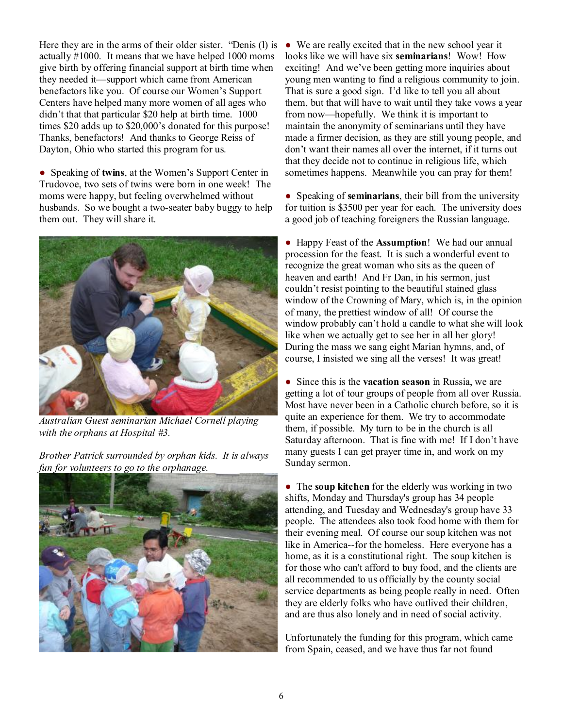Here they are in the arms of their older sister. "Denis (l) is actually #1000. It means that we have helped 1000 moms give birth by offering financial support at birth time when they needed it—support which came from American benefactors like you. Of course our Women's Support Centers have helped many more women of all ages who didn't that that particular \$20 help at birth time. 1000 times \$20 adds up to \$20,000's donated for this purpose! Thanks, benefactors! And thanks to George Reiss of Dayton, Ohio who started this program for us.

● Speaking of **twins**, at the Women's Support Center in Trudovoe, two sets of twins were born in one week! The moms were happy, but feeling overwhelmed without husbands. So we bought a two-seater baby buggy to help them out. They will share it.



*Australian Guest seminarian Michael Cornell playing with the orphans at Hospital #3.* 

*Brother Patrick surrounded by orphan kids. It is always fun for volunteers to go to the orphanage.* 



● We are really excited that in the new school year it looks like we will have six **seminarians**! Wow! How exciting! And we've been getting more inquiries about young men wanting to find a religious community to join. That is sure a good sign. I'd like to tell you all about them, but that will have to wait until they take vows a year from now—hopefully. We think it is important to maintain the anonymity of seminarians until they have made a firmer decision, as they are still young people, and don't want their names all over the internet, if it turns out that they decide not to continue in religious life, which sometimes happens. Meanwhile you can pray for them!

● Speaking of **seminarians**, their bill from the university for tuition is \$3500 per year for each. The university does a good job of teaching foreigners the Russian language.

● Happy Feast of the **Assumption**! We had our annual procession for the feast. It is such a wonderful event to recognize the great woman who sits as the queen of heaven and earth! And Fr Dan, in his sermon, just couldn't resist pointing to the beautiful stained glass window of the Crowning of Mary, which is, in the opinion of many, the prettiest window of all! Of course the window probably can't hold a candle to what she will look like when we actually get to see her in all her glory! During the mass we sang eight Marian hymns, and, of course, I insisted we sing all the verses! It was great!

● Since this is the **vacation season** in Russia, we are getting a lot of tour groups of people from all over Russia. Most have never been in a Catholic church before, so it is quite an experience for them. We try to accommodate them, if possible. My turn to be in the church is all Saturday afternoon. That is fine with me! If I don't have many guests I can get prayer time in, and work on my Sunday sermon.

● The **soup kitchen** for the elderly was working in two shifts, Monday and Thursday's group has 34 people attending, and Tuesday and Wednesday's group have 33 people. The attendees also took food home with them for their evening meal. Of course our soup kitchen was not like in America--for the homeless. Here everyone has a home, as it is a constitutional right. The soup kitchen is for those who can't afford to buy food, and the clients are all recommended to us officially by the county social service departments as being people really in need. Often they are elderly folks who have outlived their children, and are thus also lonely and in need of social activity.

Unfortunately the funding for this program, which came from Spain, ceased, and we have thus far not found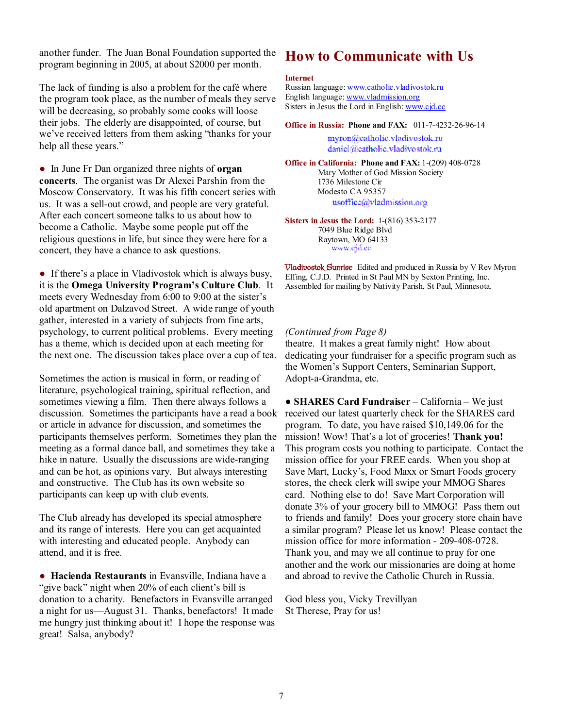another funder. The Juan Bonal Foundation supported the program beginning in 2005, at about \$2000 per month.

The lack of funding is also a problem for the café where the program took place, as the number of meals they serve will be decreasing, so probably some cooks will loose their jobs. The elderly are disappointed, of course, but we've received letters from them asking "thanks for your help all these years."

● In June Fr Dan organized three nights of **organ concerts**. The organist was Dr Alexei Parshin from the Moscow Conservatory. It was his fifth concert series with us. It was a sell-out crowd, and people are very grateful. After each concert someone talks to us about how to become a Catholic. Maybe some people put off the religious questions in life, but since they were here for a concert, they have a chance to ask questions.

• If there's a place in Vladivostok which is always busy, it is the **Omega University Program's Culture Club**. It meets every Wednesday from 6:00 to 9:00 at the sister's old apartment on Dalzavod Street. A wide range of youth gather, interested in a variety of subjects from fine arts, psychology, to current political problems. Every meeting has a theme, which is decided upon at each meeting for the next one. The discussion takes place over a cup of tea.

Sometimes the action is musical in form, or reading of literature, psychological training, spiritual reflection, and sometimes viewing a film. Then there always follows a discussion. Sometimes the participants have a read a book or article in advance for discussion, and sometimes the participants themselves perform. Sometimes they plan the meeting as a formal dance ball, and sometimes they take a hike in nature. Usually the discussions are wide-ranging and can be hot, as opinions vary. But always interesting and constructive. The Club has its own website so participants can keep up with club events.

The Club already has developed its special atmosphere and its range of interests. Here you can get acquainted with interesting and educated people. Anybody can attend, and it is free.

● **Hacienda Restaurants** in Evansville, Indiana have a "give back" night when 20% of each client's bill is donation to a charity. Benefactors in Evansville arranged a night for us—August 31. Thanks, benefactors! It made me hungry just thinking about it! I hope the response was great! Salsa, anybody?

## **How to Communicate with Us**

#### **Internet**

Russian language: [www.catholic.vladivostok.ru](http://www.catholic.vladivostok.ru) English language: [www.vladmission.org](http://www.vladmission.org) Sisters in Jesus the Lord in English: [www.cjd.cc](http://www.cjd.cc)

**Office in Russia: Phone and FAX:** 011-7-4232-26-96-14

myron@catholic.vladivostok.ru daniel@eatholic.vladivostok.ru

**Office in California: Phone and FAX:** 1-(209) 408-0728 Mary Mother of God Mission Society 1736 Milestone Cir Modesto CA 95357 usoffice@vladmission.org

**Sisters in Jesus the Lord:** 1-(816) 353-2177 7049 Blue Ridge Blvd Raytown, MO 64133 www.ejd.co

**Vladivostok Sunrise** Edited and produced in Russia by V Rev Myron Effing, C.J.D. Printed in St Paul MN by Sexton Printing, Inc. Assembled for mailing by Nativity Parish, St Paul, Minnesota.

#### *(Continued from Page 8)*

theatre. It makes a great family night! How about dedicating your fundraiser for a specific program such as the Women's Support Centers, Seminarian Support, Adopt-a-Grandma, etc.

**● SHARES Card Fundraiser** – California – We just received our latest quarterly check for the SHARES card program. To date, you have raised \$10,149.06 for the mission! Wow! That's a lot of groceries! **Thank you!** This program costs you nothing to participate. Contact the mission office for your FREE cards. When you shop at Save Mart, Lucky's, Food Maxx or Smart Foods grocery stores, the check clerk will swipe your MMOG Shares card. Nothing else to do! Save Mart Corporation will donate 3% of your grocery bill to MMOG! Pass them out to friends and family! Does your grocery store chain have a similar program? Please let us know! Please contact the mission office for more information - 209-408-0728. Thank you, and may we all continue to pray for one another and the work our missionaries are doing at home and abroad to revive the Catholic Church in Russia.

God bless you, Vicky Trevillyan St Therese, Pray for us!